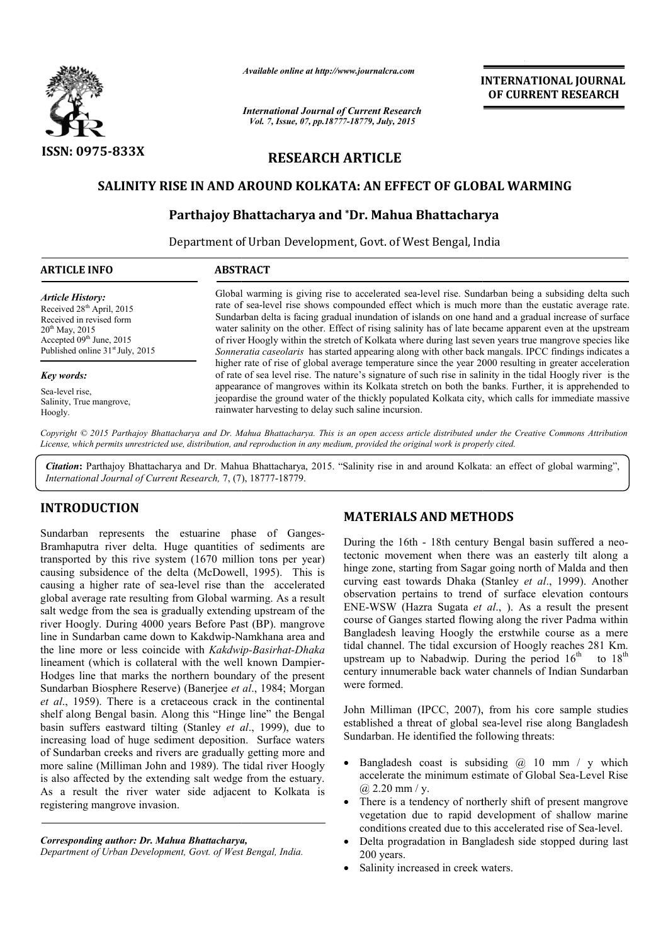

*Available online at http://www.journalcra.com*

# RESEARCH ARTICLE

## SALINITY RISE IN AND AROUND KOLKATA: AN EFFECT OF GLOBAL WARMING

## Parthajoy Bhattacharya and \*Dr. Mahua Bhattacharya Dr.

|                                                                                                                                                                                                                    | unuvic viime ui nup.//www.jvurnuicru.com<br><b>International Journal of Current Research</b>                                                                                                                                                                                                                                                                                                                                                                                                                                                                                                                                                                                                                                                                                                                                                                                                                                                                                                                                                                                                                                                                                                                                                                                                                                                                          | <b>INTERNATIONAL JOURNAL</b><br>OF CURRENT RESEARCH                                                                                                                                                                                                                                                                                                                                                                                                                                                                                                                                                                                                                                                                                                                                                                                                                                                                                                                                                                                                                                                                                                                                                                                                                         |  |  |  |  |
|--------------------------------------------------------------------------------------------------------------------------------------------------------------------------------------------------------------------|-----------------------------------------------------------------------------------------------------------------------------------------------------------------------------------------------------------------------------------------------------------------------------------------------------------------------------------------------------------------------------------------------------------------------------------------------------------------------------------------------------------------------------------------------------------------------------------------------------------------------------------------------------------------------------------------------------------------------------------------------------------------------------------------------------------------------------------------------------------------------------------------------------------------------------------------------------------------------------------------------------------------------------------------------------------------------------------------------------------------------------------------------------------------------------------------------------------------------------------------------------------------------------------------------------------------------------------------------------------------------|-----------------------------------------------------------------------------------------------------------------------------------------------------------------------------------------------------------------------------------------------------------------------------------------------------------------------------------------------------------------------------------------------------------------------------------------------------------------------------------------------------------------------------------------------------------------------------------------------------------------------------------------------------------------------------------------------------------------------------------------------------------------------------------------------------------------------------------------------------------------------------------------------------------------------------------------------------------------------------------------------------------------------------------------------------------------------------------------------------------------------------------------------------------------------------------------------------------------------------------------------------------------------------|--|--|--|--|
|                                                                                                                                                                                                                    | Vol. 7, Issue, 07, pp.18777-18779, July, 2015                                                                                                                                                                                                                                                                                                                                                                                                                                                                                                                                                                                                                                                                                                                                                                                                                                                                                                                                                                                                                                                                                                                                                                                                                                                                                                                         |                                                                                                                                                                                                                                                                                                                                                                                                                                                                                                                                                                                                                                                                                                                                                                                                                                                                                                                                                                                                                                                                                                                                                                                                                                                                             |  |  |  |  |
| <b>ISSN: 0975-833X</b>                                                                                                                                                                                             |                                                                                                                                                                                                                                                                                                                                                                                                                                                                                                                                                                                                                                                                                                                                                                                                                                                                                                                                                                                                                                                                                                                                                                                                                                                                                                                                                                       | <b>RESEARCH ARTICLE</b>                                                                                                                                                                                                                                                                                                                                                                                                                                                                                                                                                                                                                                                                                                                                                                                                                                                                                                                                                                                                                                                                                                                                                                                                                                                     |  |  |  |  |
|                                                                                                                                                                                                                    |                                                                                                                                                                                                                                                                                                                                                                                                                                                                                                                                                                                                                                                                                                                                                                                                                                                                                                                                                                                                                                                                                                                                                                                                                                                                                                                                                                       | SALINITY RISE IN AND AROUND KOLKATA: AN EFFECT OF GLOBAL WARMING                                                                                                                                                                                                                                                                                                                                                                                                                                                                                                                                                                                                                                                                                                                                                                                                                                                                                                                                                                                                                                                                                                                                                                                                            |  |  |  |  |
|                                                                                                                                                                                                                    | Parthajoy Bhattacharya and *Dr. Mahua Bhattacharya                                                                                                                                                                                                                                                                                                                                                                                                                                                                                                                                                                                                                                                                                                                                                                                                                                                                                                                                                                                                                                                                                                                                                                                                                                                                                                                    |                                                                                                                                                                                                                                                                                                                                                                                                                                                                                                                                                                                                                                                                                                                                                                                                                                                                                                                                                                                                                                                                                                                                                                                                                                                                             |  |  |  |  |
|                                                                                                                                                                                                                    |                                                                                                                                                                                                                                                                                                                                                                                                                                                                                                                                                                                                                                                                                                                                                                                                                                                                                                                                                                                                                                                                                                                                                                                                                                                                                                                                                                       | Department of Urban Development, Govt. of West Bengal, India                                                                                                                                                                                                                                                                                                                                                                                                                                                                                                                                                                                                                                                                                                                                                                                                                                                                                                                                                                                                                                                                                                                                                                                                                |  |  |  |  |
| <b>ARTICLE INFO</b>                                                                                                                                                                                                | <b>ABSTRACT</b>                                                                                                                                                                                                                                                                                                                                                                                                                                                                                                                                                                                                                                                                                                                                                                                                                                                                                                                                                                                                                                                                                                                                                                                                                                                                                                                                                       |                                                                                                                                                                                                                                                                                                                                                                                                                                                                                                                                                                                                                                                                                                                                                                                                                                                                                                                                                                                                                                                                                                                                                                                                                                                                             |  |  |  |  |
| <b>Article History:</b><br>Received 28 <sup>th</sup> April, 2015<br>Received in revised form<br>20 <sup>th</sup> May, 2015<br>Accepted 09 <sup>th</sup> June, 2015<br>Published online 31 <sup>st</sup> July, 2015 | Global warming is giving rise to accelerated sea-level rise. Sundarban being a subsiding delta such<br>rate of sea-level rise shows compounded effect which is much more than the eustatic average rate.<br>Sundarban delta is facing gradual inundation of islands on one hand and a gradual increase of surface<br>water salinity on the other. Effect of rising salinity has of late became apparent even at the upstream<br>of river Hoogly within the stretch of Kolkata where during last seven years true mangrove species like<br>Sonneratia caseolaris has started appearing along with other back mangals. IPCC findings indicates a<br>higher rate of rise of global average temperature since the year 2000 resulting in greater acceleration<br>of rate of sea level rise. The nature's signature of such rise in salinity in the tidal Hoogly river is the<br>appearance of mangroves within its Kolkata stretch on both the banks. Further, it is apprehended to<br>jeopardise the ground water of the thickly populated Kolkata city, which calls for immediate massive<br>rainwater harvesting to delay such saline incursion.                                                                                                                                                                                                                       |                                                                                                                                                                                                                                                                                                                                                                                                                                                                                                                                                                                                                                                                                                                                                                                                                                                                                                                                                                                                                                                                                                                                                                                                                                                                             |  |  |  |  |
| <b>Key words:</b><br>Sea-level rise,<br>Salinity, True mangrove,<br>Hoogly.                                                                                                                                        |                                                                                                                                                                                                                                                                                                                                                                                                                                                                                                                                                                                                                                                                                                                                                                                                                                                                                                                                                                                                                                                                                                                                                                                                                                                                                                                                                                       |                                                                                                                                                                                                                                                                                                                                                                                                                                                                                                                                                                                                                                                                                                                                                                                                                                                                                                                                                                                                                                                                                                                                                                                                                                                                             |  |  |  |  |
|                                                                                                                                                                                                                    |                                                                                                                                                                                                                                                                                                                                                                                                                                                                                                                                                                                                                                                                                                                                                                                                                                                                                                                                                                                                                                                                                                                                                                                                                                                                                                                                                                       | Copyright © 2015 Parthajoy Bhattacharya and Dr. Mahua Bhattacharya. This is an open access article distributed under the Creative Commons Attribution<br>License, which permits unrestricted use, distribution, and reproduction in any medium, provided the original work is properly cited.                                                                                                                                                                                                                                                                                                                                                                                                                                                                                                                                                                                                                                                                                                                                                                                                                                                                                                                                                                               |  |  |  |  |
| International Journal of Current Research, 7, (7), 18777-18779.                                                                                                                                                    |                                                                                                                                                                                                                                                                                                                                                                                                                                                                                                                                                                                                                                                                                                                                                                                                                                                                                                                                                                                                                                                                                                                                                                                                                                                                                                                                                                       | Citation: Parthajoy Bhattacharya and Dr. Mahua Bhattacharya, 2015. "Salinity rise in and around Kolkata: an effect of global warming",                                                                                                                                                                                                                                                                                                                                                                                                                                                                                                                                                                                                                                                                                                                                                                                                                                                                                                                                                                                                                                                                                                                                      |  |  |  |  |
| <b>INTRODUCTION</b>                                                                                                                                                                                                |                                                                                                                                                                                                                                                                                                                                                                                                                                                                                                                                                                                                                                                                                                                                                                                                                                                                                                                                                                                                                                                                                                                                                                                                                                                                                                                                                                       | <b>MATERIALS AND METHODS</b>                                                                                                                                                                                                                                                                                                                                                                                                                                                                                                                                                                                                                                                                                                                                                                                                                                                                                                                                                                                                                                                                                                                                                                                                                                                |  |  |  |  |
| registering mangrove invasion.                                                                                                                                                                                     | Sundarban represents the estuarine phase of Ganges-<br>Bramhaputra river delta. Huge quantities of sediments are<br>transported by this rive system (1670 million tons per year)<br>causing subsidence of the delta (McDowell, 1995). This is<br>causing a higher rate of sea-level rise than the accelerated<br>global average rate resulting from Global warming. As a result<br>salt wedge from the sea is gradually extending upstream of the<br>river Hoogly. During 4000 years Before Past (BP). mangrove<br>line in Sundarban came down to Kakdwip-Namkhana area and<br>the line more or less coincide with Kakdwip-Basirhat-Dhaka<br>lineament (which is collateral with the well known Dampier-<br>Hodges line that marks the northern boundary of the present<br>Sundarban Biosphere Reserve) (Banerjee et al., 1984; Morgan<br>et al., 1959). There is a cretaceous crack in the continental<br>shelf along Bengal basin. Along this "Hinge line" the Bengal<br>basin suffers eastward tilting (Stanley et al., 1999), due to<br>increasing load of huge sediment deposition. Surface waters<br>of Sundarban creeks and rivers are gradually getting more and<br>more saline (Milliman John and 1989). The tidal river Hoogly<br>is also affected by the extending salt wedge from the estuary.<br>As a result the river water side adjacent to Kolkata is | During the 16th - 18th century Bengal basin suffered a neo-<br>tectonic movement when there was an easterly tilt along a<br>hinge zone, starting from Sagar going north of Malda and then<br>curving east towards Dhaka (Stanley et al., 1999). Another<br>observation pertains to trend of surface elevation contours<br>ENE-WSW (Hazra Sugata et al., ). As a result the present<br>course of Ganges started flowing along the river Padma within<br>Bangladesh leaving Hoogly the erstwhile course as a mere<br>tidal channel. The tidal excursion of Hoogly reaches 281 Km.<br>to $18^{th}$<br>upstream up to Nabadwip. During the period $16th$<br>century innumerable back water channels of Indian Sundarban<br>were formed.<br>John Milliman (IPCC, 2007), from his core sample studies<br>established a threat of global sea-level rise along Bangladesh<br>Sundarban. He identified the following threats:<br>Bangladesh coast is subsiding $@$ 10 mm / y which<br>$\bullet$<br>accelerate the minimum estimate of Global Sea-Level Rise<br>@ $2.20$ mm / y.<br>There is a tendency of northerly shift of present mangrove<br>$\bullet$<br>vegetation due to rapid development of shallow marine<br>conditions created due to this accelerated rise of Sea-level. |  |  |  |  |
| Corresponding author: Dr. Mahua Bhattacharya,<br>Department of Urban Development, Govt. of West Bengal, India.                                                                                                     |                                                                                                                                                                                                                                                                                                                                                                                                                                                                                                                                                                                                                                                                                                                                                                                                                                                                                                                                                                                                                                                                                                                                                                                                                                                                                                                                                                       | Delta progradation in Bangladesh side stopped during last<br>$\bullet$<br>200 years.<br>Salinity increased in creek waters.<br>$\bullet$                                                                                                                                                                                                                                                                                                                                                                                                                                                                                                                                                                                                                                                                                                                                                                                                                                                                                                                                                                                                                                                                                                                                    |  |  |  |  |

## INTRODUCTION

- Bangladesh coast is subsiding @ 10 mm / y which Bangladesh coast is subsiding  $@$  10 mm / y which accelerate the minimum estimate of Global Sea-Level Rise  $(a)$  2.20 mm / y.
- There is a tendency of northerly shift of present mangrove vegetation due to rapid development of shallow marine conditions created due to this accelerated rise of Sea There is a tendency of northerly shift of present mangrove vegetation due to rapid development of shallow marine conditions created due to this accelerated rise of Sea-level.
- Delta progradation in Bangladesh side stopped during last 200 years.
- Salinity increased in creek waters.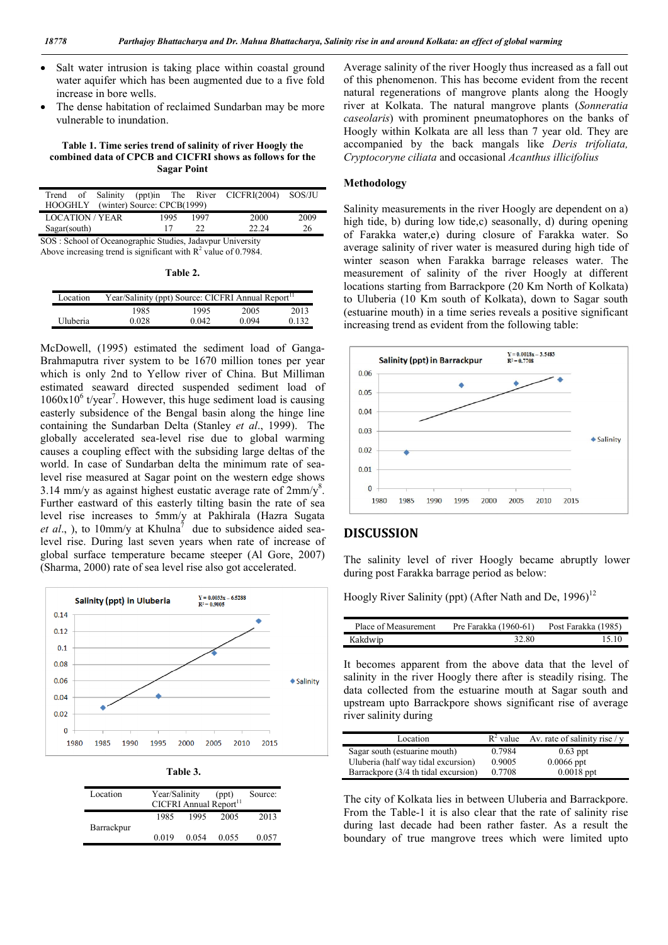- Salt water intrusion is taking place within coastal ground water aquifer which has been augmented due to a five fold increase in bore wells.
- The dense habitation of reclaimed Sundarban may be more vulnerable to inundation.

#### Table 1. Time series trend of salinity of river Hoogly the combined data of CPCB and CICFRI shows as follows for the Sagar Point

|                                                           |  |  |      |      | Trend of Salinity (ppt)in The River CICFRI(2004) SOS/JU |      |
|-----------------------------------------------------------|--|--|------|------|---------------------------------------------------------|------|
| HOOGHLY (winter) Source: CPCB(1999)                       |  |  |      |      |                                                         |      |
| <b>LOCATION/YEAR</b>                                      |  |  | 1995 | 1997 | 2000                                                    | 2009 |
| Sagar(south)                                              |  |  |      | 22   | 22.24                                                   | 26   |
| SOS: School of Oceanographic Studies, Jadavpur University |  |  |      |      |                                                         |      |

Above increasing trend is significant with  $R^2$  value of 0.7984.

| Location | Year/Salinity (ppt) Source: CICFRI Annual Report <sup>11</sup> |       |       |       |
|----------|----------------------------------------------------------------|-------|-------|-------|
|          | 1985                                                           | 1995  | 2005  | 2013  |
| Uluberia | 0.028                                                          | 0.042 | 0.094 | 0.132 |

McDowell, (1995) estimated the sediment load of Ganga-Brahmaputra river system to be 1670 million tones per year which is only 2nd to Yellow river of China. But Milliman estimated seaward directed suspended sediment load of  $1060x10<sup>6</sup>$  t/year<sup>7</sup>. However, this huge sediment load is causing easterly subsidence of the Bengal basin along the hinge line containing the Sundarban Delta (Stanley *et al*., 1999). The globally accelerated sea-level rise due to global warming causes a coupling effect with the subsiding large deltas of the world. In case of Sundarban delta the minimum rate of sealevel rise measured at Sagar point on the western edge shows 3.14 mm/y as against highest eustatic average rate of  $2mm/y<sup>8</sup>$ . Further eastward of this easterly tilting basin the rate of sea level rise increases to 5mm/y at Pakhirala (Hazra Sugata *et al.*, ), to 10mm/y at Khulna<sup>7</sup> due to subsidence aided sealevel rise. During last seven years when rate of increase of global surface temperature became steeper (Al Gore, 2007) (Sharma, 2000) rate of sea level rise also got accelerated.



| DI<br>н<br>Ψ |  |
|--------------|--|
|              |  |

| Location   | Year/Salinity<br>CICFRI Annual Report <sup>11</sup> |       | (ppt) | Source: |
|------------|-----------------------------------------------------|-------|-------|---------|
|            | 1985                                                | 1995  | 2005  | 2013    |
| Barrackpur | 0.019                                               | 0.054 | 0.055 | 0.057   |

Average salinity of the river Hoogly thus increased as a fall out of this phenomenon. This has become evident from the recent natural regenerations of mangrove plants along the Hoogly river at Kolkata. The natural mangrove plants (*Sonneratia caseolaris*) with prominent pneumatophores on the banks of Hoogly within Kolkata are all less than 7 year old. They are accompanied by the back mangals like *Deris trifoliata, Cryptocoryne ciliata* and occasional *Acanthus illicifolius*

### Methodology

Salinity measurements in the river Hoogly are dependent on a) high tide, b) during low tide, c) seasonally, d) during opening of Farakka water,e) during closure of Farakka water. So average salinity of river water is measured during high tide of winter season when Farakka barrage releases water. The measurement of salinity of the river Hoogly at different locations starting from Barrackpore (20 Km North of Kolkata) to Uluberia (10 Km south of Kolkata), down to Sagar south (estuarine mouth) in a time series reveals a positive significant increasing trend as evident from the following table:



## DISCUSSION

The salinity level of river Hoogly became abruptly lower during post Farakka barrage period as below:

Hoogly River Salinity (ppt) (After Nath and De, 1996)<sup>12</sup>

| Place of Measurement | Pre Farakka (1960-61) | Post Farakka (1985) |
|----------------------|-----------------------|---------------------|
| Kakdwip              | 32.80                 | 15.10               |

It becomes apparent from the above data that the level of salinity in the river Hoogly there after is steadily rising. The data collected from the estuarine mouth at Sagar south and upstream upto Barrackpore shows significant rise of average river salinity during

| Location                             |        | $R^2$ value Av. rate of salinity rise / y |
|--------------------------------------|--------|-------------------------------------------|
| Sagar south (estuarine mouth)        | 0.7984 | $0.63$ ppt                                |
| Uluberia (half way tidal excursion)  | 0.9005 | $0.0066$ ppt                              |
| Barrackpore (3/4 th tidal excursion) | 0.7708 | $0.0018$ ppt                              |

The city of Kolkata lies in between Uluberia and Barrackpore. From the Table-1 it is also clear that the rate of salinity rise during last decade had been rather faster. As a result the boundary of true mangrove trees which were limited upto